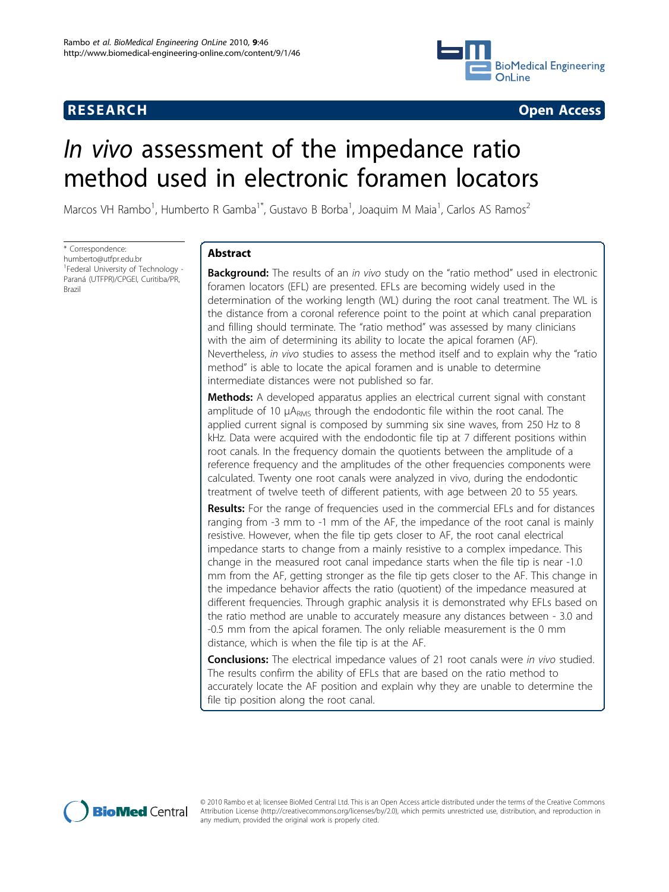## **RESEARCH CONSTRUCTION CONTROL**



# In vivo assessment of the impedance ratio method used in electronic foramen locators

Marcos VH Rambo<sup>1</sup>, Humberto R Gamba<sup>1\*</sup>, Gustavo B Borba<sup>1</sup>, Joaquim M Maia<sup>1</sup>, Carlos AS Ramos<sup>2</sup>

\* Correspondence: [humberto@utfpr.edu.br](mailto:humberto@utfpr.edu.br) <sup>1</sup>Federal University of Technology -Paraná (UTFPR)/CPGEI, Curitiba/PR, Brazil

## Abstract

**Background:** The results of an in vivo study on the "ratio method" used in electronic foramen locators (EFL) are presented. EFLs are becoming widely used in the determination of the working length (WL) during the root canal treatment. The WL is the distance from a coronal reference point to the point at which canal preparation and filling should terminate. The "ratio method" was assessed by many clinicians with the aim of determining its ability to locate the apical foramen (AF). Nevertheless, in vivo studies to assess the method itself and to explain why the "ratio method" is able to locate the apical foramen and is unable to determine intermediate distances were not published so far.

Methods: A developed apparatus applies an electrical current signal with constant amplitude of 10 μA<sub>RMS</sub> through the endodontic file within the root canal. The applied current signal is composed by summing six sine waves, from 250 Hz to 8 kHz. Data were acquired with the endodontic file tip at 7 different positions within root canals. In the frequency domain the quotients between the amplitude of a reference frequency and the amplitudes of the other frequencies components were calculated. Twenty one root canals were analyzed in vivo, during the endodontic treatment of twelve teeth of different patients, with age between 20 to 55 years.

**Results:** For the range of frequencies used in the commercial EFLs and for distances ranging from -3 mm to -1 mm of the AF, the impedance of the root canal is mainly resistive. However, when the file tip gets closer to AF, the root canal electrical impedance starts to change from a mainly resistive to a complex impedance. This change in the measured root canal impedance starts when the file tip is near -1.0 mm from the AF, getting stronger as the file tip gets closer to the AF. This change in the impedance behavior affects the ratio (quotient) of the impedance measured at different frequencies. Through graphic analysis it is demonstrated why EFLs based on the ratio method are unable to accurately measure any distances between - 3.0 and -0.5 mm from the apical foramen. The only reliable measurement is the 0 mm distance, which is when the file tip is at the AF.

**Conclusions:** The electrical impedance values of 21 root canals were in vivo studied. The results confirm the ability of EFLs that are based on the ratio method to accurately locate the AF position and explain why they are unable to determine the file tip position along the root canal.



© 2010 Rambo et al; licensee BioMed Central Ltd. This is an Open Access article distributed under the terms of the Creative Commons Attribution License [\(http://creativecommons.org/licenses/by/2.0](http://creativecommons.org/licenses/by/2.0)), which permits unrestricted use, distribution, and reproduction in any medium, provided the original work is properly cited.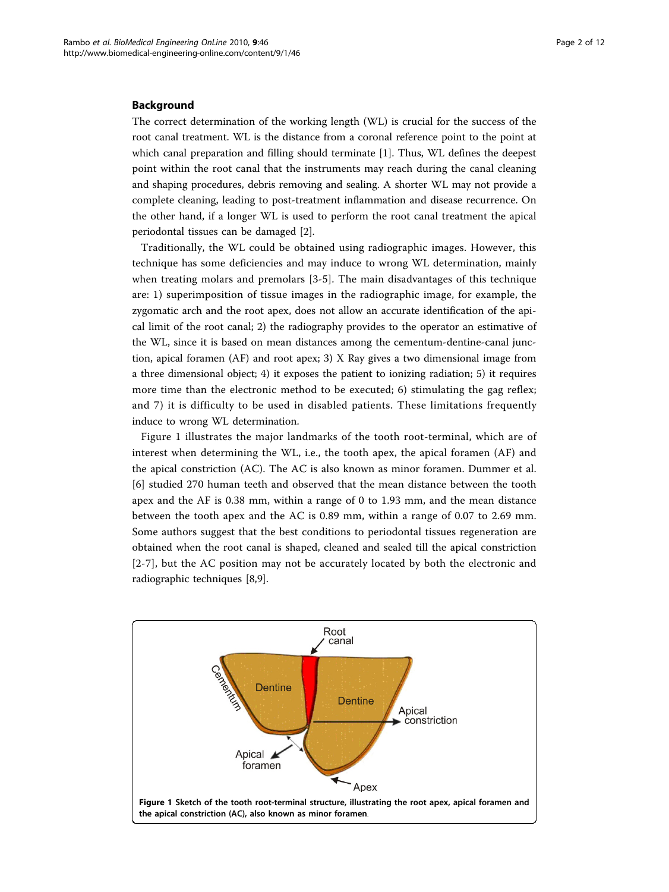#### Background

The correct determination of the working length (WL) is crucial for the success of the root canal treatment. WL is the distance from a coronal reference point to the point at which canal preparation and filling should terminate [[1\]](#page-11-0). Thus, WL defines the deepest point within the root canal that the instruments may reach during the canal cleaning and shaping procedures, debris removing and sealing. A shorter WL may not provide a complete cleaning, leading to post-treatment inflammation and disease recurrence. On the other hand, if a longer WL is used to perform the root canal treatment the apical periodontal tissues can be damaged [\[2](#page-11-0)].

Traditionally, the WL could be obtained using radiographic images. However, this technique has some deficiencies and may induce to wrong WL determination, mainly when treating molars and premolars [\[3-5](#page-11-0)]. The main disadvantages of this technique are: 1) superimposition of tissue images in the radiographic image, for example, the zygomatic arch and the root apex, does not allow an accurate identification of the apical limit of the root canal; 2) the radiography provides to the operator an estimative of the WL, since it is based on mean distances among the cementum-dentine-canal junction, apical foramen (AF) and root apex; 3) X Ray gives a two dimensional image from a three dimensional object; 4) it exposes the patient to ionizing radiation; 5) it requires more time than the electronic method to be executed; 6) stimulating the gag reflex; and 7) it is difficulty to be used in disabled patients. These limitations frequently induce to wrong WL determination.

Figure 1 illustrates the major landmarks of the tooth root-terminal, which are of interest when determining the WL, i.e., the tooth apex, the apical foramen (AF) and the apical constriction (AC). The AC is also known as minor foramen. Dummer et al. [[6\]](#page-11-0) studied 270 human teeth and observed that the mean distance between the tooth apex and the AF is 0.38 mm, within a range of 0 to 1.93 mm, and the mean distance between the tooth apex and the AC is 0.89 mm, within a range of 0.07 to 2.69 mm. Some authors suggest that the best conditions to periodontal tissues regeneration are obtained when the root canal is shaped, cleaned and sealed till the apical constriction [[2](#page-11-0)-[7\]](#page-11-0), but the AC position may not be accurately located by both the electronic and radiographic techniques [[8,9\]](#page-11-0).

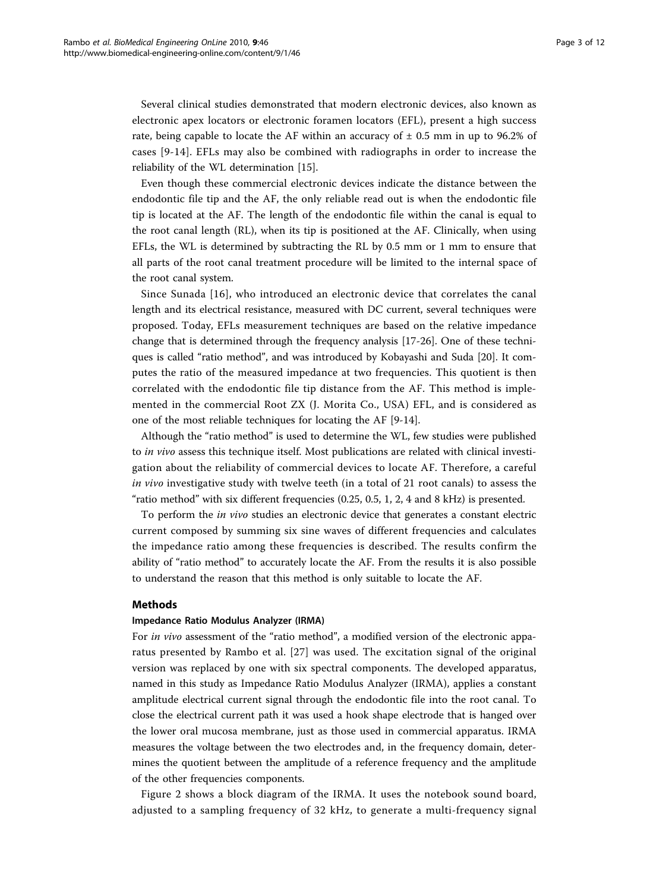Several clinical studies demonstrated that modern electronic devices, also known as electronic apex locators or electronic foramen locators (EFL), present a high success rate, being capable to locate the AF within an accuracy of  $\pm$  0.5 mm in up to 96.2% of cases [\[9](#page-11-0)-[14](#page-11-0)]. EFLs may also be combined with radiographs in order to increase the reliability of the WL determination [\[15\]](#page-11-0).

Even though these commercial electronic devices indicate the distance between the endodontic file tip and the AF, the only reliable read out is when the endodontic file tip is located at the AF. The length of the endodontic file within the canal is equal to the root canal length (RL), when its tip is positioned at the AF. Clinically, when using EFLs, the WL is determined by subtracting the RL by 0.5 mm or 1 mm to ensure that all parts of the root canal treatment procedure will be limited to the internal space of the root canal system.

Since Sunada [\[16\]](#page-11-0), who introduced an electronic device that correlates the canal length and its electrical resistance, measured with DC current, several techniques were proposed. Today, EFLs measurement techniques are based on the relative impedance change that is determined through the frequency analysis [[17-26](#page-11-0)]. One of these techniques is called "ratio method", and was introduced by Kobayashi and Suda [\[20](#page-11-0)]. It computes the ratio of the measured impedance at two frequencies. This quotient is then correlated with the endodontic file tip distance from the AF. This method is implemented in the commercial Root ZX (J. Morita Co., USA) EFL, and is considered as one of the most reliable techniques for locating the AF [[9-14](#page-11-0)].

Although the "ratio method" is used to determine the WL, few studies were published to *in vivo* assess this technique itself. Most publications are related with clinical investigation about the reliability of commercial devices to locate AF. Therefore, a careful in vivo investigative study with twelve teeth (in a total of 21 root canals) to assess the "ratio method" with six different frequencies (0.25, 0.5, 1, 2, 4 and 8 kHz) is presented.

To perform the in vivo studies an electronic device that generates a constant electric current composed by summing six sine waves of different frequencies and calculates the impedance ratio among these frequencies is described. The results confirm the ability of "ratio method" to accurately locate the AF. From the results it is also possible to understand the reason that this method is only suitable to locate the AF.

## **Methods**

#### Impedance Ratio Modulus Analyzer (IRMA)

For in vivo assessment of the "ratio method", a modified version of the electronic apparatus presented by Rambo et al. [[27\]](#page-11-0) was used. The excitation signal of the original version was replaced by one with six spectral components. The developed apparatus, named in this study as Impedance Ratio Modulus Analyzer (IRMA), applies a constant amplitude electrical current signal through the endodontic file into the root canal. To close the electrical current path it was used a hook shape electrode that is hanged over the lower oral mucosa membrane, just as those used in commercial apparatus. IRMA measures the voltage between the two electrodes and, in the frequency domain, determines the quotient between the amplitude of a reference frequency and the amplitude of the other frequencies components.

Figure [2](#page-3-0) shows a block diagram of the IRMA. It uses the notebook sound board, adjusted to a sampling frequency of 32 kHz, to generate a multi-frequency signal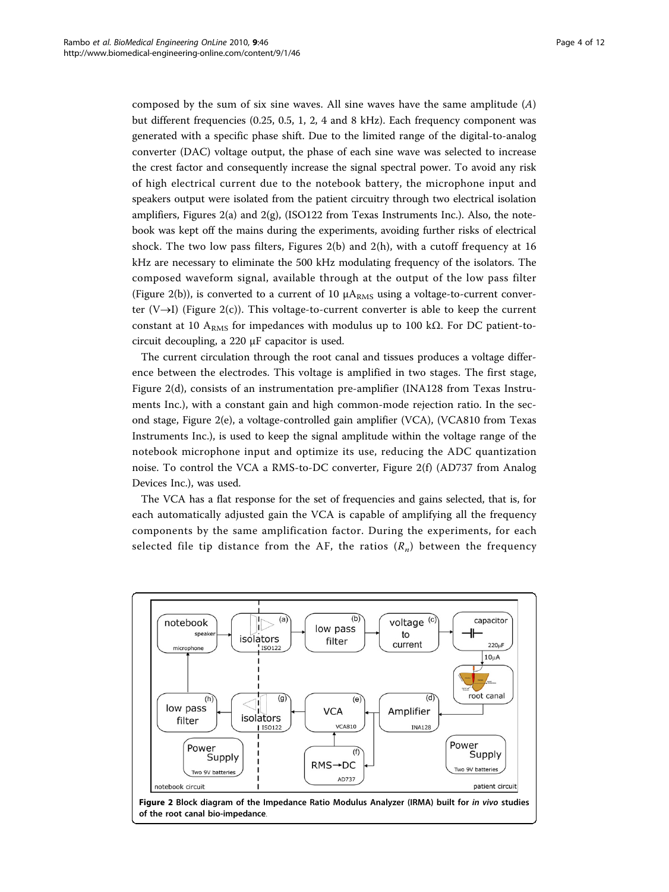<span id="page-3-0"></span>composed by the sum of six sine waves. All sine waves have the same amplitude  $(A)$ but different frequencies (0.25, 0.5, 1, 2, 4 and 8 kHz). Each frequency component was generated with a specific phase shift. Due to the limited range of the digital-to-analog converter (DAC) voltage output, the phase of each sine wave was selected to increase the crest factor and consequently increase the signal spectral power. To avoid any risk of high electrical current due to the notebook battery, the microphone input and speakers output were isolated from the patient circuitry through two electrical isolation amplifiers, Figures 2(a) and 2(g), (ISO122 from Texas Instruments Inc.). Also, the notebook was kept off the mains during the experiments, avoiding further risks of electrical shock. The two low pass filters, Figures 2(b) and 2(h), with a cutoff frequency at 16 kHz are necessary to eliminate the 500 kHz modulating frequency of the isolators. The composed waveform signal, available through at the output of the low pass filter (Figure 2(b)), is converted to a current of 10  $\mu A_{RMS}$  using a voltage-to-current converter  $(V \rightarrow I)$  (Figure 2(c)). This voltage-to-current converter is able to keep the current constant at 10 A<sub>RMS</sub> for impedances with modulus up to 100 kΩ. For DC patient-tocircuit decoupling, a 220 μF capacitor is used.

The current circulation through the root canal and tissues produces a voltage difference between the electrodes. This voltage is amplified in two stages. The first stage, Figure 2(d), consists of an instrumentation pre-amplifier (INA128 from Texas Instruments Inc.), with a constant gain and high common-mode rejection ratio. In the second stage, Figure 2(e), a voltage-controlled gain amplifier (VCA), (VCA810 from Texas Instruments Inc.), is used to keep the signal amplitude within the voltage range of the notebook microphone input and optimize its use, reducing the ADC quantization noise. To control the VCA a RMS-to-DC converter, Figure 2(f) (AD737 from Analog Devices Inc.), was used.

The VCA has a flat response for the set of frequencies and gains selected, that is, for each automatically adjusted gain the VCA is capable of amplifying all the frequency components by the same amplification factor. During the experiments, for each selected file tip distance from the AF, the ratios  $(R_n)$  between the frequency



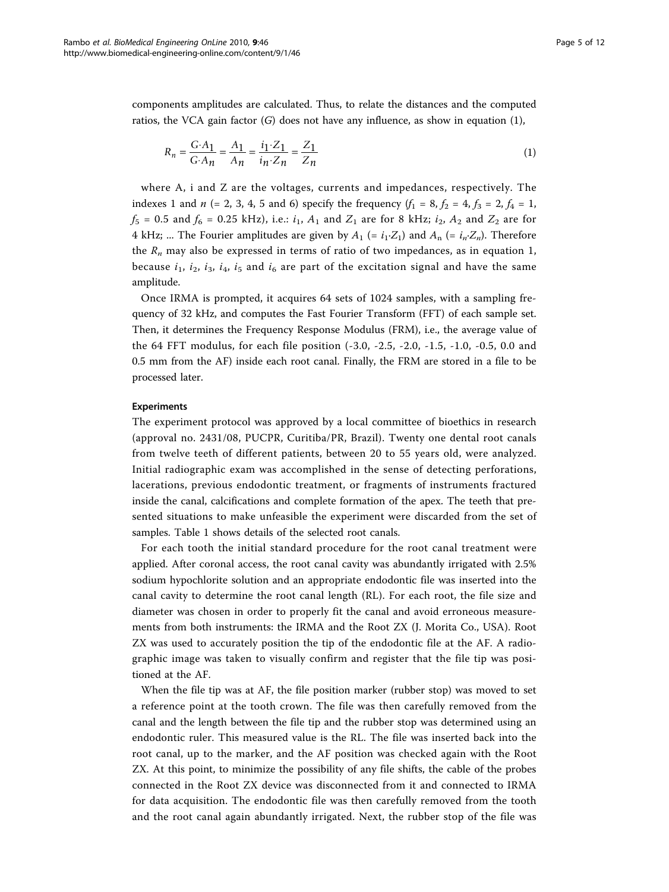components amplitudes are calculated. Thus, to relate the distances and the computed ratios, the VCA gain factor  $(G)$  does not have any influence, as show in equation  $(1)$ ,

$$
R_n = \frac{G \cdot A_1}{G \cdot A_n} = \frac{A_1}{A_n} = \frac{i_1 \cdot Z_1}{i_n \cdot Z_n} = \frac{Z_1}{Z_n}
$$
(1)

where A, i and Z are the voltages, currents and impedances, respectively. The indexes 1 and *n* (= 2, 3, 4, 5 and 6) specify the frequency  $(f_1 = 8, f_2 = 4, f_3 = 2, f_4 = 1,$  $f_5 = 0.5$  and  $f_6 = 0.25$  kHz), i.e.:  $i_1$ ,  $A_1$  and  $Z_1$  are for 8 kHz;  $i_2$ ,  $A_2$  and  $Z_2$  are for 4 kHz; ... The Fourier amplitudes are given by  $A_1 = i_1 \cdot Z_1$  and  $A_n = i_n \cdot Z_n$ . Therefore the  $R_n$  may also be expressed in terms of ratio of two impedances, as in equation 1, because  $i_1$ ,  $i_2$ ,  $i_3$ ,  $i_4$ ,  $i_5$  and  $i_6$  are part of the excitation signal and have the same amplitude.

Once IRMA is prompted, it acquires 64 sets of 1024 samples, with a sampling frequency of 32 kHz, and computes the Fast Fourier Transform (FFT) of each sample set. Then, it determines the Frequency Response Modulus (FRM), i.e., the average value of the 64 FFT modulus, for each file position (-3.0, -2.5, -2.0, -1.5, -1.0, -0.5, 0.0 and 0.5 mm from the AF) inside each root canal. Finally, the FRM are stored in a file to be processed later.

#### Experiments

The experiment protocol was approved by a local committee of bioethics in research (approval no. 2431/08, PUCPR, Curitiba/PR, Brazil). Twenty one dental root canals from twelve teeth of different patients, between 20 to 55 years old, were analyzed. Initial radiographic exam was accomplished in the sense of detecting perforations, lacerations, previous endodontic treatment, or fragments of instruments fractured inside the canal, calcifications and complete formation of the apex. The teeth that presented situations to make unfeasible the experiment were discarded from the set of samples. Table [1](#page-5-0) shows details of the selected root canals.

For each tooth the initial standard procedure for the root canal treatment were applied. After coronal access, the root canal cavity was abundantly irrigated with 2.5% sodium hypochlorite solution and an appropriate endodontic file was inserted into the canal cavity to determine the root canal length (RL). For each root, the file size and diameter was chosen in order to properly fit the canal and avoid erroneous measurements from both instruments: the IRMA and the Root ZX (J. Morita Co., USA). Root ZX was used to accurately position the tip of the endodontic file at the AF. A radiographic image was taken to visually confirm and register that the file tip was positioned at the AF.

When the file tip was at AF, the file position marker (rubber stop) was moved to set a reference point at the tooth crown. The file was then carefully removed from the canal and the length between the file tip and the rubber stop was determined using an endodontic ruler. This measured value is the RL. The file was inserted back into the root canal, up to the marker, and the AF position was checked again with the Root ZX. At this point, to minimize the possibility of any file shifts, the cable of the probes connected in the Root ZX device was disconnected from it and connected to IRMA for data acquisition. The endodontic file was then carefully removed from the tooth and the root canal again abundantly irrigated. Next, the rubber stop of the file was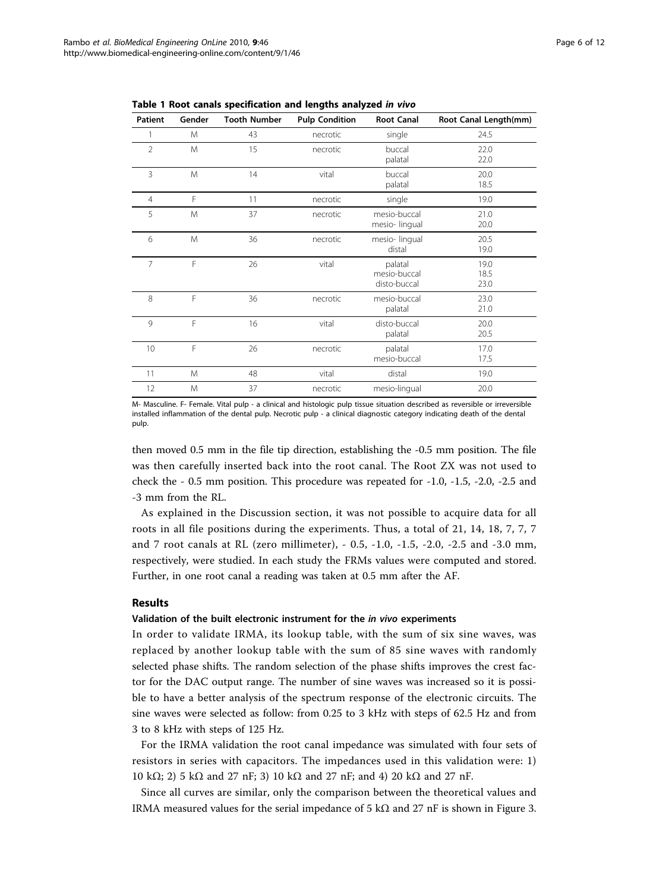| <b>Patient</b> | Gender | <b>Tooth Number</b> | <b>Pulp Condition</b> | <b>Root Canal</b>                       | Root Canal Length(mm) |  |  |  |
|----------------|--------|---------------------|-----------------------|-----------------------------------------|-----------------------|--|--|--|
|                | M      | 43                  | necrotic              | single                                  | 24.5                  |  |  |  |
| $\overline{2}$ | M      | 15                  | necrotic              | buccal<br>palatal                       | 22.0<br>22.0          |  |  |  |
| 3              | M      | 14                  | vital                 | buccal<br>palatal                       | 20.0<br>18.5          |  |  |  |
| $\overline{4}$ | F      | 11                  | necrotic              | single                                  | 19.0                  |  |  |  |
| 5              | M      | 37                  | necrotic              | mesio-buccal<br>mesio-lingual           | 21.0<br>20.0          |  |  |  |
| 6              | M      | 36                  | necrotic              | mesio-lingual<br>distal                 | 20.5<br>19.0          |  |  |  |
| $\overline{7}$ | F      | 26                  | vital                 | palatal<br>mesio-buccal<br>disto-buccal | 19.0<br>18.5<br>23.0  |  |  |  |
| 8              | F      | 36                  | necrotic              | mesio-buccal<br>palatal                 | 23.0<br>21.0          |  |  |  |
| 9              | F      | 16                  | vital                 | disto-buccal<br>palatal                 | 20.0<br>20.5          |  |  |  |
| 10             | F      | 26                  | necrotic              | palatal<br>mesio-buccal                 | 17.0<br>17.5          |  |  |  |
| 11             | M      | 48                  | vital                 | distal                                  | 19.0                  |  |  |  |
| 12             | M      | 37                  | necrotic              | mesio-lingual                           | 20.0                  |  |  |  |

<span id="page-5-0"></span>Table 1 Root canals specification and lengths analyzed in vivo

M- Masculine. F- Female. Vital pulp - a clinical and histologic pulp tissue situation described as reversible or irreversible installed inflammation of the dental pulp. Necrotic pulp - a clinical diagnostic category indicating death of the dental pulp.

then moved 0.5 mm in the file tip direction, establishing the -0.5 mm position. The file was then carefully inserted back into the root canal. The Root ZX was not used to check the - 0.5 mm position. This procedure was repeated for -1.0, -1.5, -2.0, -2.5 and -3 mm from the RL.

As explained in the Discussion section, it was not possible to acquire data for all roots in all file positions during the experiments. Thus, a total of 21, 14, 18, 7, 7, 7 and 7 root canals at RL (zero millimeter), - 0.5, -1.0, -1.5, -2.0, -2.5 and -3.0 mm, respectively, were studied. In each study the FRMs values were computed and stored. Further, in one root canal a reading was taken at 0.5 mm after the AF.

## Results

## Validation of the built electronic instrument for the in vivo experiments

In order to validate IRMA, its lookup table, with the sum of six sine waves, was replaced by another lookup table with the sum of 85 sine waves with randomly selected phase shifts. The random selection of the phase shifts improves the crest factor for the DAC output range. The number of sine waves was increased so it is possible to have a better analysis of the spectrum response of the electronic circuits. The sine waves were selected as follow: from 0.25 to 3 kHz with steps of 62.5 Hz and from 3 to 8 kHz with steps of 125 Hz.

For the IRMA validation the root canal impedance was simulated with four sets of resistors in series with capacitors. The impedances used in this validation were: 1) 10 kΩ; 2) 5 kΩ and 27 nF; 3) 10 kΩ and 27 nF; and 4) 20 kΩ and 27 nF.

Since all curves are similar, only the comparison between the theoretical values and IRMA measured values for the serial impedance of 5 k $\Omega$  and 27 nF is shown in Figure [3](#page-6-0).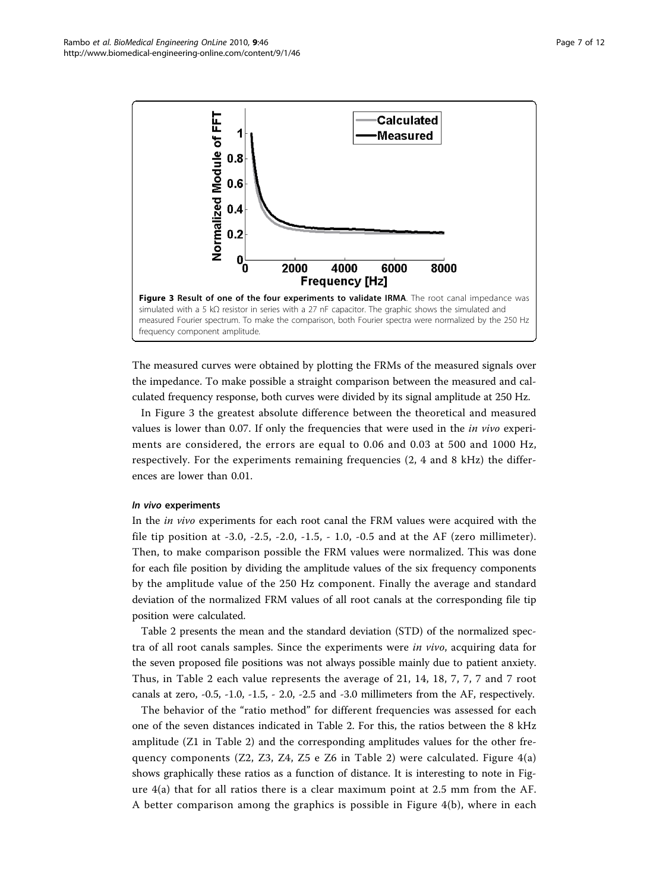<span id="page-6-0"></span>

The measured curves were obtained by plotting the FRMs of the measured signals over the impedance. To make possible a straight comparison between the measured and calculated frequency response, both curves were divided by its signal amplitude at 250 Hz.

In Figure 3 the greatest absolute difference between the theoretical and measured values is lower than 0.07. If only the frequencies that were used in the *in vivo* experiments are considered, the errors are equal to 0.06 and 0.03 at 500 and 1000 Hz, respectively. For the experiments remaining frequencies (2, 4 and 8 kHz) the differences are lower than 0.01.

## In vivo experiments

In the in vivo experiments for each root canal the FRM values were acquired with the file tip position at -3.0, -2.5, -2.0, -1.5, - 1.0, -0.5 and at the AF (zero millimeter). Then, to make comparison possible the FRM values were normalized. This was done for each file position by dividing the amplitude values of the six frequency components by the amplitude value of the 250 Hz component. Finally the average and standard deviation of the normalized FRM values of all root canals at the corresponding file tip position were calculated.

Table [2](#page-7-0) presents the mean and the standard deviation (STD) of the normalized spectra of all root canals samples. Since the experiments were in vivo, acquiring data for the seven proposed file positions was not always possible mainly due to patient anxiety. Thus, in Table [2](#page-7-0) each value represents the average of 21, 14, 18, 7, 7, 7 and 7 root canals at zero, -0.5, -1.0, -1.5, - 2.0, -2.5 and -3.0 millimeters from the AF, respectively.

The behavior of the "ratio method" for different frequencies was assessed for each one of the seven distances indicated in Table [2.](#page-7-0) For this, the ratios between the 8 kHz amplitude (Z1 in Table [2\)](#page-7-0) and the corresponding amplitudes values for the other frequency components  $(Z2, Z3, Z4, Z5$  e  $Z6$  in Table [2](#page-7-0)) were calculated. Figure  $4(a)$ shows graphically these ratios as a function of distance. It is interesting to note in Figure [4\(a\)](#page-8-0) that for all ratios there is a clear maximum point at 2.5 mm from the AF. A better comparison among the graphics is possible in Figure [4\(b\),](#page-8-0) where in each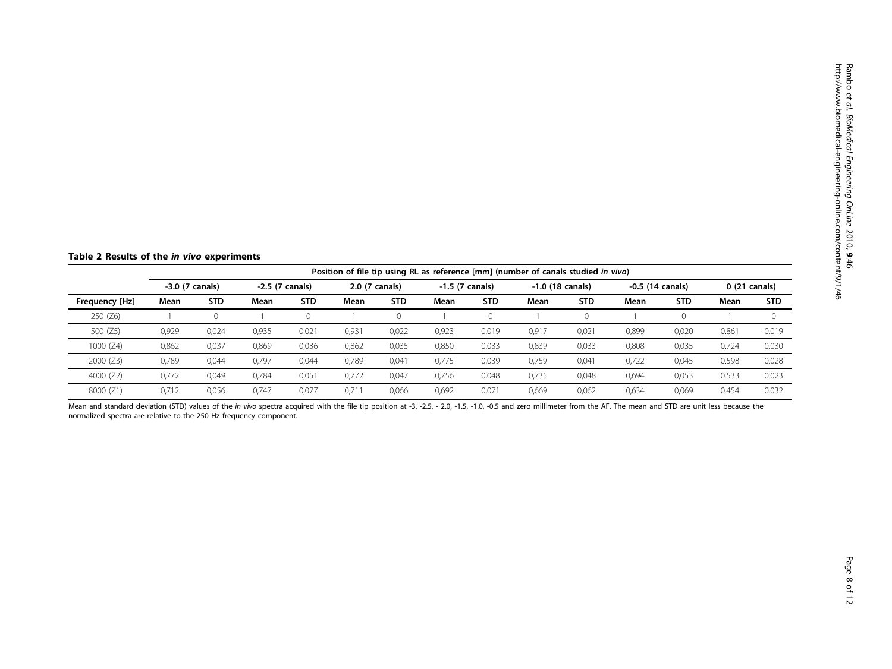<span id="page-7-0"></span>Table 2 Results of the in vivo experiments

|                | Position of file tip using RL as reference [mm] (number of canals studied in vivo) |            |                  |            |                |            |                   |            |                    |            |                    |            |               |            |
|----------------|------------------------------------------------------------------------------------|------------|------------------|------------|----------------|------------|-------------------|------------|--------------------|------------|--------------------|------------|---------------|------------|
|                | $-3.0$ (7 canals)                                                                  |            | $-2.5(7 canals)$ |            | 2.0 (7 canals) |            | $-1.5$ (7 canals) |            | $-1.0$ (18 canals) |            | $-0.5$ (14 canals) |            | 0 (21 canals) |            |
| Frequency [Hz] | Mean                                                                               | <b>STD</b> | Mean             | <b>STD</b> | Mean           | <b>STD</b> | Mean              | <b>STD</b> | Mean               | <b>STD</b> | Mean               | <b>STD</b> | Mean          | <b>STD</b> |
| 250 (Z6)       |                                                                                    |            |                  |            |                |            |                   |            |                    |            |                    | 0          |               | $\Omega$   |
| 500 (Z5)       | 0,929                                                                              | 0,024      | 0,935            | 0,021      | 0,931          | 0,022      | 0,923             | 0,019      | 0,917              | 0,021      | 0,899              | 0,020      | 0.861         | 0.019      |
| 1000 $(Z4)$    | 0,862                                                                              | 0,037      | 0,869            | 0,036      | 0,862          | 0,035      | 0,850             | 0,033      | 0,839              | 0,033      | 0,808              | 0,035      | 0.724         | 0.030      |
| 2000(Z3)       | 0,789                                                                              | 0.044      | 0,797            | 0.044      | 0,789          | 0,041      | 0.775             | 0,039      | 0,759              | 0,041      | 0,722              | 0,045      | 0.598         | 0.028      |
| 4000 (Z2)      | 0,772                                                                              | 0.049      | 0.784            | 0,051      | 0.772          | 0.047      | 0,756             | 0,048      | 0,735              | 0,048      | 0,694              | 0,053      | 0.533         | 0.023      |
| 8000 (Z1)      | 0.712                                                                              | 0.056      | 0.747            | 0.077      | 0.71           | 0.066      | 0.692             | 0.071      | 0.669              | 0.062      | 0.634              | 0.069      | 0.454         | 0.032      |

Mean and standard deviation (STD) values of the in vivo spectra acquired with the file tip position at -3, -2.5, -2.0, -1.5, -1.0, -0.5 and zero millimeter from the AF. The mean and STD are unit less because the normalized spectra are relative to the 250 Hz frequency component.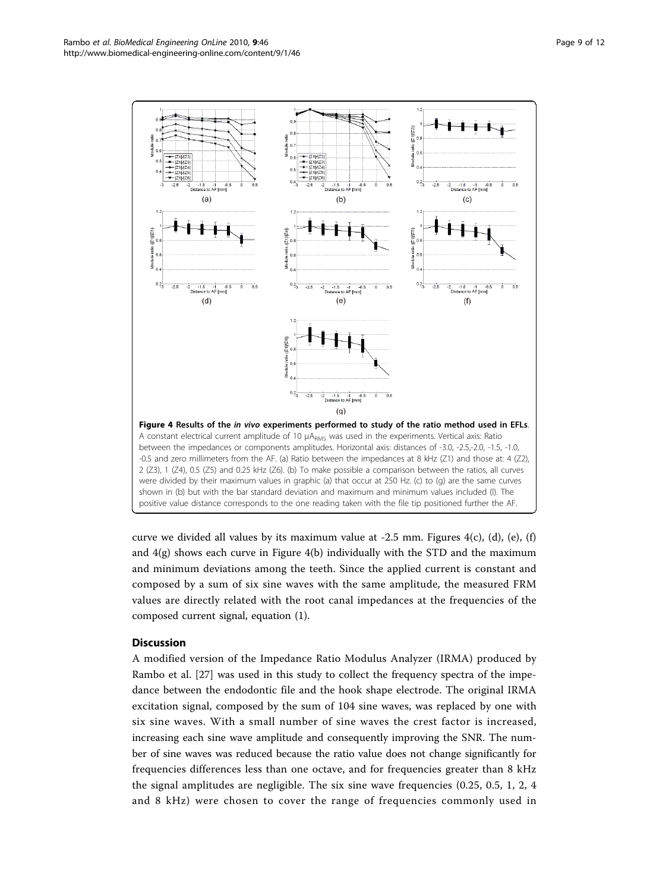<span id="page-8-0"></span>

curve we divided all values by its maximum value at  $-2.5$  mm. Figures  $4(c)$ , (d), (e), (f) and  $4(g)$  shows each curve in Figure  $4(b)$  individually with the STD and the maximum and minimum deviations among the teeth. Since the applied current is constant and composed by a sum of six sine waves with the same amplitude, the measured FRM values are directly related with the root canal impedances at the frequencies of the composed current signal, equation (1).

## **Discussion**

A modified version of the Impedance Ratio Modulus Analyzer (IRMA) produced by Rambo et al. [\[27](#page-11-0)] was used in this study to collect the frequency spectra of the impedance between the endodontic file and the hook shape electrode. The original IRMA excitation signal, composed by the sum of 104 sine waves, was replaced by one with six sine waves. With a small number of sine waves the crest factor is increased, increasing each sine wave amplitude and consequently improving the SNR. The number of sine waves was reduced because the ratio value does not change significantly for frequencies differences less than one octave, and for frequencies greater than 8 kHz the signal amplitudes are negligible. The six sine wave frequencies (0.25, 0.5, 1, 2, 4 and 8 kHz) were chosen to cover the range of frequencies commonly used in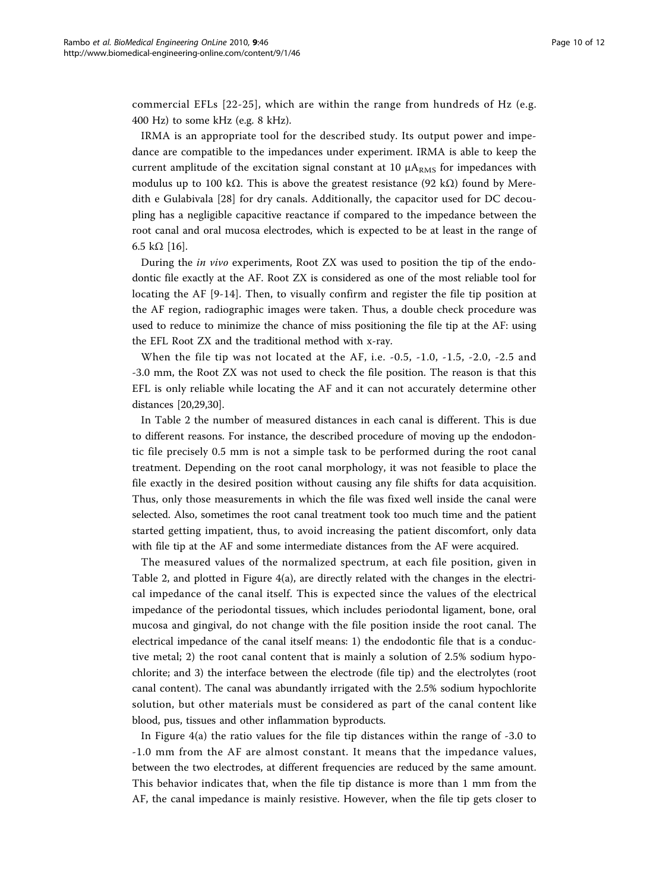commercial EFLs [\[22](#page-11-0)-[25](#page-11-0)], which are within the range from hundreds of Hz (e.g. 400 Hz) to some kHz (e.g. 8 kHz).

IRMA is an appropriate tool for the described study. Its output power and impedance are compatible to the impedances under experiment. IRMA is able to keep the current amplitude of the excitation signal constant at 10  $\mu A_{RMS}$  for impedances with modulus up to 100 k $\Omega$ . This is above the greatest resistance (92 k $\Omega$ ) found by Meredith e Gulabivala [[28\]](#page-11-0) for dry canals. Additionally, the capacitor used for DC decoupling has a negligible capacitive reactance if compared to the impedance between the root canal and oral mucosa electrodes, which is expected to be at least in the range of 6.5 kΩ [\[16\]](#page-11-0).

During the in vivo experiments, Root ZX was used to position the tip of the endodontic file exactly at the AF. Root ZX is considered as one of the most reliable tool for locating the AF [[9-14](#page-11-0)]. Then, to visually confirm and register the file tip position at the AF region, radiographic images were taken. Thus, a double check procedure was used to reduce to minimize the chance of miss positioning the file tip at the AF: using the EFL Root ZX and the traditional method with x-ray.

When the file tip was not located at the AF, i.e. -0.5, -1.0, -1.5, -2.0, -2.5 and -3.0 mm, the Root ZX was not used to check the file position. The reason is that this EFL is only reliable while locating the AF and it can not accurately determine other distances [[20,29,30\]](#page-11-0).

In Table [2](#page-7-0) the number of measured distances in each canal is different. This is due to different reasons. For instance, the described procedure of moving up the endodontic file precisely 0.5 mm is not a simple task to be performed during the root canal treatment. Depending on the root canal morphology, it was not feasible to place the file exactly in the desired position without causing any file shifts for data acquisition. Thus, only those measurements in which the file was fixed well inside the canal were selected. Also, sometimes the root canal treatment took too much time and the patient started getting impatient, thus, to avoid increasing the patient discomfort, only data with file tip at the AF and some intermediate distances from the AF were acquired.

The measured values of the normalized spectrum, at each file position, given in Table [2,](#page-7-0) and plotted in Figure [4\(a\)](#page-8-0), are directly related with the changes in the electrical impedance of the canal itself. This is expected since the values of the electrical impedance of the periodontal tissues, which includes periodontal ligament, bone, oral mucosa and gingival, do not change with the file position inside the root canal. The electrical impedance of the canal itself means: 1) the endodontic file that is a conductive metal; 2) the root canal content that is mainly a solution of 2.5% sodium hypochlorite; and 3) the interface between the electrode (file tip) and the electrolytes (root canal content). The canal was abundantly irrigated with the 2.5% sodium hypochlorite solution, but other materials must be considered as part of the canal content like blood, pus, tissues and other inflammation byproducts.

In Figure [4\(a\)](#page-8-0) the ratio values for the file tip distances within the range of -3.0 to -1.0 mm from the AF are almost constant. It means that the impedance values, between the two electrodes, at different frequencies are reduced by the same amount. This behavior indicates that, when the file tip distance is more than 1 mm from the AF, the canal impedance is mainly resistive. However, when the file tip gets closer to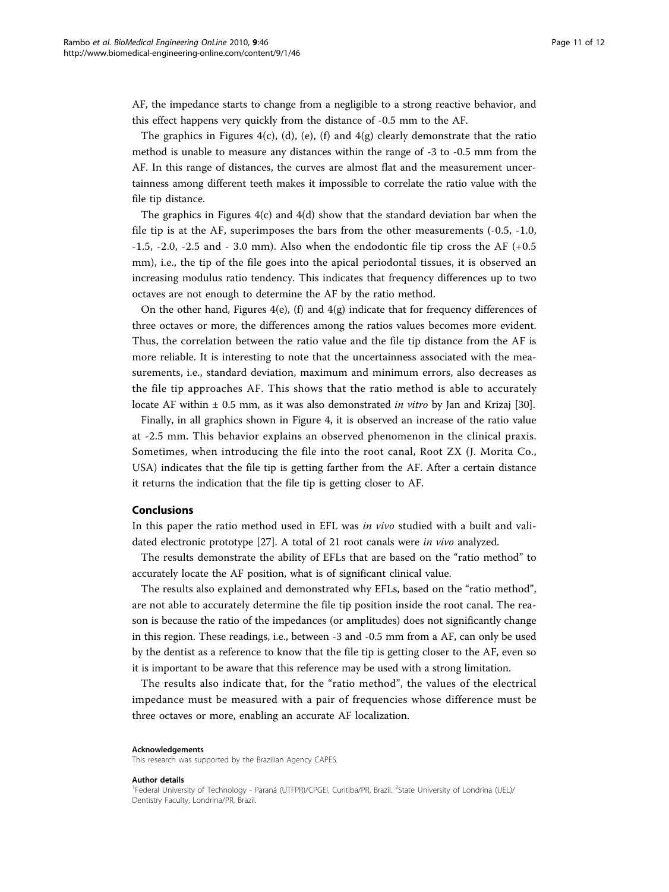AF, the impedance starts to change from a negligible to a strong reactive behavior, and this effect happens very quickly from the distance of -0.5 mm to the AF.

The graphics in Figures [4\(c\), \(d\), \(e\), \(f\)](#page-8-0) and  $4(g)$  clearly demonstrate that the ratio method is unable to measure any distances within the range of -3 to -0.5 mm from the AF. In this range of distances, the curves are almost flat and the measurement uncertainness among different teeth makes it impossible to correlate the ratio value with the file tip distance.

The graphics in Figures  $4(c)$  and  $4(d)$  show that the standard deviation bar when the file tip is at the AF, superimposes the bars from the other measurements (-0.5, -1.0,  $-1.5$ ,  $-2.0$ ,  $-2.5$  and  $-3.0$  mm). Also when the endodontic file tip cross the AF ( $+0.5$ ) mm), i.e., the tip of the file goes into the apical periodontal tissues, it is observed an increasing modulus ratio tendency. This indicates that frequency differences up to two octaves are not enough to determine the AF by the ratio method.

On the other hand, Figures  $4(e)$ , (f) and  $4(g)$  indicate that for frequency differences of three octaves or more, the differences among the ratios values becomes more evident. Thus, the correlation between the ratio value and the file tip distance from the AF is more reliable. It is interesting to note that the uncertainness associated with the measurements, i.e., standard deviation, maximum and minimum errors, also decreases as the file tip approaches AF. This shows that the ratio method is able to accurately locate AF within  $\pm$  0.5 mm, as it was also demonstrated *in vitro* by Jan and Krizaj [[30](#page-11-0)].

Finally, in all graphics shown in Figure [4](#page-8-0), it is observed an increase of the ratio value at -2.5 mm. This behavior explains an observed phenomenon in the clinical praxis. Sometimes, when introducing the file into the root canal, Root ZX (J. Morita Co., USA) indicates that the file tip is getting farther from the AF. After a certain distance it returns the indication that the file tip is getting closer to AF.

## Conclusions

In this paper the ratio method used in EFL was in vivo studied with a built and validated electronic prototype [[27\]](#page-11-0). A total of 21 root canals were in vivo analyzed.

The results demonstrate the ability of EFLs that are based on the "ratio method" to accurately locate the AF position, what is of significant clinical value.

The results also explained and demonstrated why EFLs, based on the "ratio method", are not able to accurately determine the file tip position inside the root canal. The reason is because the ratio of the impedances (or amplitudes) does not significantly change in this region. These readings, i.e., between -3 and -0.5 mm from a AF, can only be used by the dentist as a reference to know that the file tip is getting closer to the AF, even so it is important to be aware that this reference may be used with a strong limitation.

The results also indicate that, for the "ratio method", the values of the electrical impedance must be measured with a pair of frequencies whose difference must be three octaves or more, enabling an accurate AF localization.

#### Acknowledgements

This research was supported by the Brazilian Agency CAPES.

#### Author details

<sup>&</sup>lt;sup>1</sup>Federal University of Technology - Paraná (UTFPR)/CPGEI, Curitiba/PR, Brazil. <sup>2</sup>State University of Londrina (UEL)/ Dentistry Faculty, Londrina/PR, Brazil.